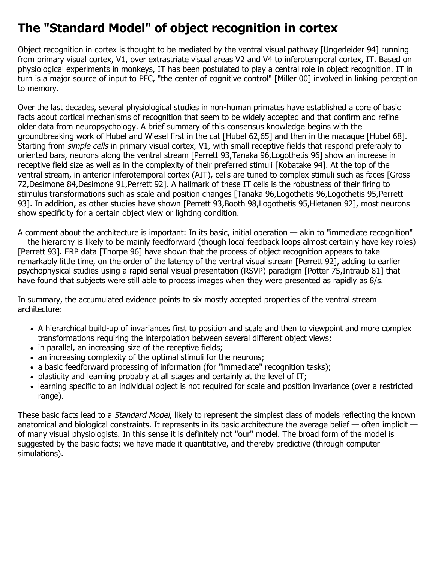## **The "Standard Model" of object recognition in cortex**

Object recognition in cortex is thought to be mediated by the ventral visual pathway [Ungerleider 94] running from primary visual cortex, V1, over extrastriate visual areas V2 and V4 to inferotemporal cortex, IT. Based on physiological experiments in monkeys, IT has been postulated to play a central role in object recognition. IT in turn is a major source of input to PFC, "the center of cognitive control" [Miller 00] involved in linking perception to memory.

Over the last decades, several physiological studies in non-human primates have established a core of basic facts about cortical mechanisms of recognition that seem to be widely accepted and that confirm and refine older data from neuropsychology. A brief summary of this consensus knowledge begins with the groundbreaking work of Hubel and Wiesel first in the cat [Hubel 62,65] and then in the macaque [Hubel 68]. Starting from simple cells in primary visual cortex, V1, with small receptive fields that respond preferably to oriented bars, neurons along the ventral stream [Perrett 93,Tanaka 96,Logothetis 96] show an increase in receptive field size as well as in the complexity of their preferred stimuli [Kobatake 94]. At the top of the ventral stream, in anterior inferotemporal cortex (AIT), cells are tuned to complex stimuli such as faces [Gross 72,Desimone 84,Desimone 91,Perrett 92]. A hallmark of these IT cells is the robustness of their firing to stimulus transformations such as scale and position changes [Tanaka 96,Logothetis 96,Logothetis 95,Perrett 93]. In addition, as other studies have shown [Perrett 93,Booth 98,Logothetis 95,Hietanen 92], most neurons show specificity for a certain object view or lighting condition.

A comment about the architecture is important: In its basic, initial operation — akin to "immediate recognition" — the hierarchy is likely to be mainly feedforward (though local feedback loops almost certainly have key roles) [Perrett 93]. ERP data [Thorpe 96] have shown that the process of object recognition appears to take remarkably little time, on the order of the latency of the ventral visual stream [Perrett 92], adding to earlier psychophysical studies using a rapid serial visual presentation (RSVP) paradigm [Potter 75,Intraub 81] that have found that subjects were still able to process images when they were presented as rapidly as 8/s.

In summary, the accumulated evidence points to six mostly accepted properties of the ventral stream architecture:

- A hierarchical build-up of invariances first to position and scale and then to viewpoint and more complex transformations requiring the interpolation between several different object views;
- in parallel, an increasing size of the receptive fields;
- an increasing complexity of the optimal stimuli for the neurons;
- a basic feedforward processing of information (for "immediate" recognition tasks);
- plasticity and learning probably at all stages and certainly at the level of IT;
- learning specific to an individual object is not required for scale and position invariance (over a restricted range).

These basic facts lead to a *Standard Model*, likely to represent the simplest class of models reflecting the known anatomical and biological constraints. It represents in its basic architecture the average belief — often implicit of many visual physiologists. In this sense it is definitely not "our" model. The broad form of the model is suggested by the basic facts; we have made it quantitative, and thereby predictive (through computer simulations).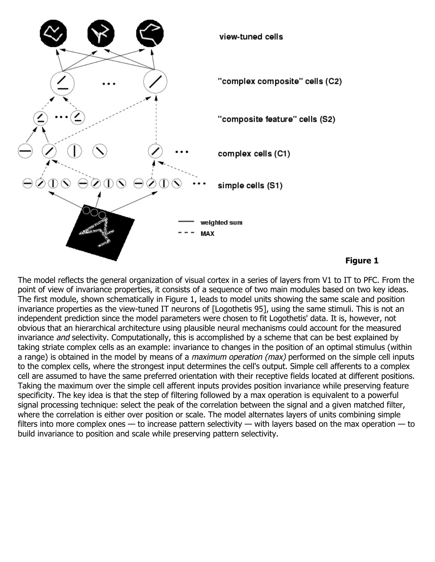

## **Figure 1**

The model reflects the general organization of visual cortex in a series of layers from V1 to IT to PFC. From the point of view of invariance properties, it consists of a sequence of two main modules based on two key ideas. The first module, shown schematically in Figure 1, leads to model units showing the same scale and position invariance properties as the view-tuned IT neurons of [Logothetis 95], using the same stimuli. This is not an independent prediction since the model parameters were chosen to fit Logothetis' data. It is, however, not obvious that an hierarchical architecture using plausible neural mechanisms could account for the measured invariance and selectivity. Computationally, this is accomplished by a scheme that can be best explained by taking striate complex cells as an example: invariance to changes in the position of an optimal stimulus (within a range) is obtained in the model by means of a *maximum operation (max)* performed on the simple cell inputs to the complex cells, where the strongest input determines the cell's output. Simple cell afferents to a complex cell are assumed to have the same preferred orientation with their receptive fields located at different positions. Taking the maximum over the simple cell afferent inputs provides position invariance while preserving feature specificity. The key idea is that the step of filtering followed by a max operation is equivalent to a powerful signal processing technique: select the peak of the correlation between the signal and a given matched filter, where the correlation is either over position or scale. The model alternates layers of units combining simple filters into more complex ones — to increase pattern selectivity — with layers based on the max operation — to build invariance to position and scale while preserving pattern selectivity.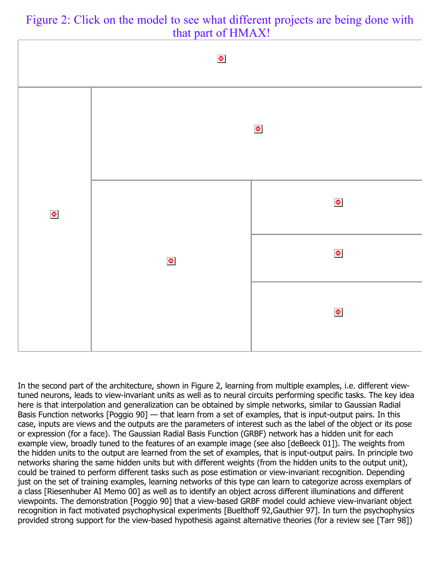In the second part of the architecture, shown in Figure 2, learning from multiple examples, i.e. different viewtuned neurons, leads to view-invariant units as well as to neural circuits performing specific tasks. The key idea here is that interpolation and generalization can be obtained by simple networks, similar to Gaussian Radial Basis Function networks [Poggio 90] — that learn from a set of examples, that is input-output pairs. In this case, inputs are views and the outputs are the parameters of interest such as the label of the object or its pose or expression (for a face). The Gaussian Radial Basis Function (GRBF) network has a hidden unit for each example view, broadly tuned to the features of an example image (see also [deBeeck 01]). The weights from the hidden units to the output are learned from the set of examples, that is input-output pairs. In principle two networks sharing the same hidden units but with different weights (from the hidden units to the output unit), could be trained to perform different tasks such as pose estimation or view-invariant recognition. Depending just on the set of training examples, learning networks of this type can learn to categorize across exemplars of a class [Riesenhuber AI Memo 00] as well as to identify an object across different illuminations and different viewpoints. The demonstration [Poggio 90] that a view-based GRBF model could achieve view-invariant object recognition in fact motivated psychophysical experiments [Buelthoff 92,Gauthier 97]. In turn the psychophysics provided strong support for the view-based hypothesis against alternative theories (for a review see [Tarr 98])